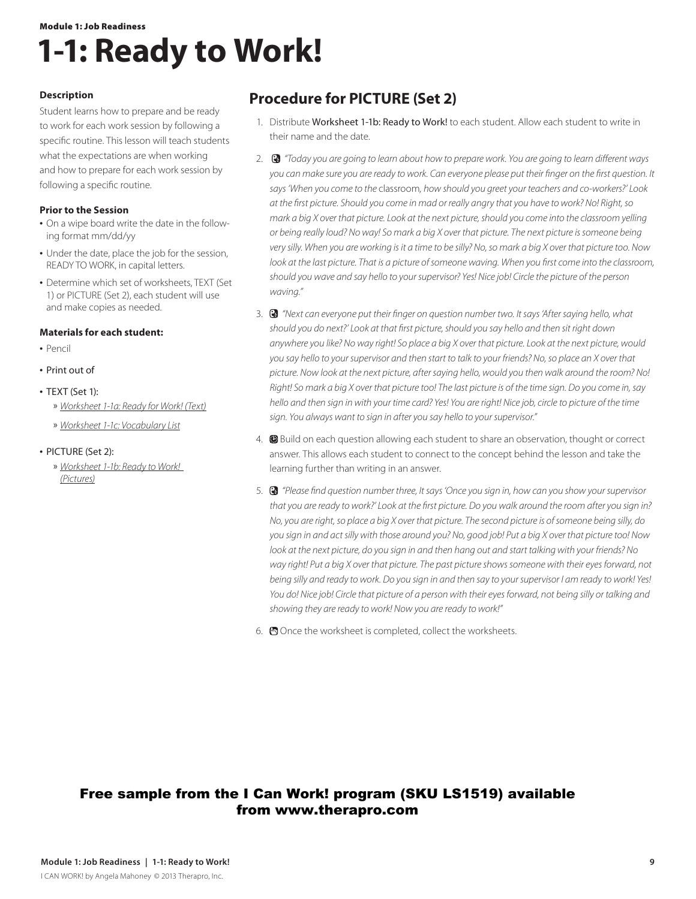## Module 1: Job Readiness **1-1: Ready to Work!**

### **Description**

Student learns how to prepare and be ready to work for each work session by following a specific routine. This lesson will teach students what the expectations are when working and how to prepare for each work session by following a specific routine.

#### **Prior to the Session**

- On a wipe board write the date in the following format mm/dd/yy
- Under the date, place the job for the session, READY TO WORK, in capital letters.
- **•** Determine which set of worksheets, TEXT (Set 1) or PICTURE (Set 2), each student will use and make copies as needed.

### **Materials for each student:**

- **•**  Pencil
- **•**  Print out of
- **•**  TEXT (Set 1):
	- » *Worksheet 1-1a: Ready for Work! (Text)*
	- » *Worksheet 1-1c: Vocabulary List*
- **•**  PICTURE (Set 2):
	- » *Worksheet 1-1b: Ready to Work! (Pictures)*

## **Procedure for PICTURE (Set 2)**

- 1. Distribute Worksheet 1-1b: Ready to Work! to each student. Allow each student to write in their name and the date.
- 2. *"Today you are going to learn about how to prepare work. You are going to learn different ways you can make sure you are ready to work. Can everyone please put their finger on the first question. It says 'When you come to the* classroom*, how should you greet your teachers and co-workers?' Look at the first picture. Should you come in mad or really angry that you have to work? No! Right, so mark a big X over that picture. Look at the next picture, should you come into the classroom yelling or being really loud? No way! So mark a big X over that picture. The next picture is someone being very silly. When you are working is it a time to be silly? No, so mark a big X over that picture too. Now look at the last picture. That is a picture of someone waving. When you first come into the classroom, should you wave and say hello to your supervisor? Yes! Nice job! Circle the picture of the person waving."*
- 3. *"Next can everyone put their finger on question number two. It says 'After saying hello, what should you do next?' Look at that first picture, should you say hello and then sit right down anywhere you like? No way right! So place a big X over that picture. Look at the next picture, would you say hello to your supervisor and then start to talk to your friends? No, so place an X over that picture. Now look at the next picture, after saying hello, would you then walk around the room? No! Right! So mark a big X over that picture too! The last picture is of the time sign. Do you come in, say hello and then sign in with your time card? Yes! You are right! Nice job, circle to picture of the time sign. You always want to sign in after you say hello to your supervisor."*
- 4. **B** Build on each question allowing each student to share an observation, thought or correct answer. This allows each student to connect to the concept behind the lesson and take the learning further than writing in an answer.
- 5. *"Please find question number three, It says 'Once you sign in, how can you show your supervisor that you are ready to work?' Look at the first picture. Do you walk around the room after you sign in? No, you are right, so place a big X over that picture. The second picture is of someone being silly, do you sign in and act silly with those around you? No, good job! Put a big X over that picture too! Now look at the next picture, do you sign in and then hang out and start talking with your friends? No way right! Put a big X over that picture. The past picture shows someone with their eyes forward, not being silly and ready to work. Do you sign in and then say to your supervisor I am ready to work! Yes! You do! Nice job! Circle that picture of a person with their eyes forward, not being silly or talking and showing they are ready to work! Now you are ready to work!"*
- 6. Once the worksheet is completed, collect the worksheets.

### Free sample from the I Can Work! program (SKU LS1519) available from www.therapro.com